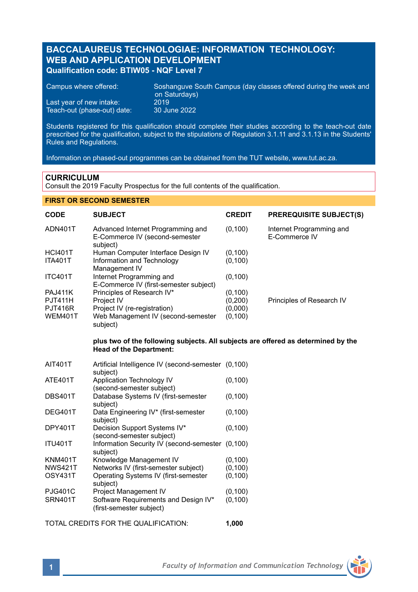# **BACCALAUREUS TECHNOLOGIAE: INFORMATION TECHNOLOGY: WEB AND APPLICATION DEVELOPMENT Qualification code: BTIW05 - NQF Level 7**

Campus where offered: Soshanguve South Campus (day classes offered during the week and on Saturdays) Last year of new intake: 2019<br>Teach-out (phase-out) date: 30 June 2022 Teach-out (phase-out) date:

Students registered for this qualification should complete their studies according to the teach-out date prescribed for the qualification, subject to the stipulations of Regulation 3.1.11 and 3.1.13 in the Students' Rules and Regulations.

Information on phased-out programmes can be obtained from the TUT website, www.tut.ac.za.

# **CURRICULUM**

Consult the 2019 Faculty Prospectus for the full contents of the qualification.

### **FIRST OR SECOND SEMESTER**

| <b>CODE</b>    | <b>SUBJECT</b>                                                                                                      | <b>CREDIT</b> | <b>PREREQUISITE SUBJECT(S)</b>            |
|----------------|---------------------------------------------------------------------------------------------------------------------|---------------|-------------------------------------------|
| ADN401T        | Advanced Internet Programming and<br>E-Commerce IV (second-semester<br>subject)                                     | (0, 100)      | Internet Programming and<br>E-Commerce IV |
| <b>HCI401T</b> | Human Computer Interface Design IV                                                                                  | (0, 100)      |                                           |
| <b>ITA401T</b> | Information and Technology<br>Management IV                                                                         | (0, 100)      |                                           |
| <b>ITC401T</b> | Internet Programming and                                                                                            | (0, 100)      |                                           |
|                | E-Commerce IV (first-semester subject)                                                                              |               |                                           |
| <b>PAJ411K</b> | Principles of Research IV*                                                                                          | (0, 100)      |                                           |
| <b>PJT411H</b> | Project IV                                                                                                          | (0, 200)      | Principles of Research IV                 |
| <b>PJT416R</b> | Project IV (re-registration)                                                                                        | (0,000)       |                                           |
| WEM401T        | Web Management IV (second-semester<br>subject)                                                                      | (0, 100)      |                                           |
|                | plus two of the following subjects. All subjects are offered as determined by the<br><b>Head of the Department:</b> |               |                                           |
|                |                                                                                                                     |               |                                           |

| AIT401T        | Artificial Intelligence IV (second-semester (0,100)<br>subject)  |          |
|----------------|------------------------------------------------------------------|----------|
| <b>ATE401T</b> | Application Technology IV<br>(second-semester subject)           | (0, 100) |
| <b>DBS401T</b> | Database Systems IV (first-semester<br>subiect)                  | (0, 100) |
| DEG401T        | Data Engineering IV* (first-semester<br>subject)                 | (0, 100) |
| DPY401T        | Decision Support Systems IV*<br>(second-semester subject)        | (0, 100) |
| <b>ITU401T</b> | Information Security IV (second-semester (0.100)<br>subiect)     |          |
| <b>KNM401T</b> | Knowledge Management IV                                          | (0, 100) |
| <b>NWS421T</b> | Networks IV (first-semester subject)                             | (0, 100) |
| OSY431T        | Operating Systems IV (first-semester<br>subject)                 | (0, 100) |
| <b>PJG401C</b> | Project Management IV                                            | (0, 100) |
| SRN401T        | Software Requirements and Design IV*<br>(first-semester subject) | (0, 100) |

TOTAL CREDITS FOR THE QUALIFICATION: **1,000**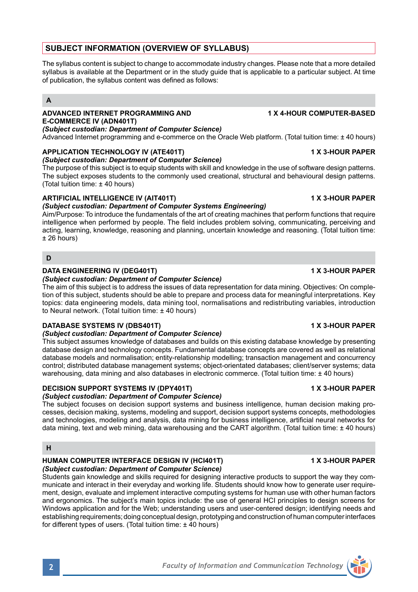municate and interact in their everyday and working life. Students should know how to generate user requirement, design, evaluate and implement interactive computing systems for human use with other human factors and ergonomics. The subject's main topics include: the use of general HCI principles to design screens for Windows application and for the Web; understanding users and user-centered design; identifying needs and establishing requirements; doing conceptual design, prototyping and construction of human computer interfaces for different types of users. (Total tuition time: ± 40 hours)

The syllabus content is subject to change to accommodate industry changes. Please note that a more detailed syllabus is available at the Department or in the study guide that is applicable to a particular subject. At time of publication, the syllabus content was defined as follows:

## **A**

# **ADVANCED INTERNET PROGRAMMING AND 1 X 4-HOUR COMPUTER-BASED E-COMMERCE IV (ADN401T)**

*(Subject custodian: Department of Computer Science)* Advanced Internet programming and e-commerce on the Oracle Web platform. (Total tuition time: ± 40 hours)

# **APPLICATION TECHNOLOGY IV (ATE401T) 1 X 3-HOUR PAPER**

## *(Subject custodian: Department of Computer Science)*

The purpose of this subject is to equip students with skill and knowledge in the use of software design patterns. The subject exposes students to the commonly used creational, structural and behavioural design patterns. (Total tuition time: ± 40 hours)

# **ARTIFICIAL INTELLIGENCE IV (AIT401T) 1 X 3-HOUR PAPER**

### *(Subject custodian: Department of Computer Systems Engineering)*

Aim/Purpose: To introduce the fundamentals of the art of creating machines that perform functions that require intelligence when performed by people. The field includes problem solving, communicating, perceiving and acting, learning, knowledge, reasoning and planning, uncertain knowledge and reasoning. (Total tuition time: ± 26 hours)

# **D**

# **DATA ENGINEERING IV (DEG401T) 1 X 3-HOUR PAPER**

## *(Subject custodian: Department of Computer Science)*

The aim of this subject is to address the issues of data representation for data mining. Objectives: On completion of this subject, students should be able to prepare and process data for meaningful interpretations. Key topics: data engineering models, data mining tool, normalisations and redistributing variables, introduction to Neural network. (Total tuition time: ± 40 hours)

## **DATABASE SYSTEMS IV (DBS401T) 1 X 3-HOUR PAPER**

## *(Subject custodian: Department of Computer Science)*

This subject assumes knowledge of databases and builds on this existing database knowledge by presenting database design and technology concepts. Fundamental database concepts are covered as well as relational database models and normalisation; entity-relationship modelling; transaction management and concurrency control; distributed database management systems; object-orientated databases; client/server systems; data warehousing, data mining and also databases in electronic commerce. (Total tuition time: ± 40 hours)

## **DECISION SUPPORT SYSTEMS IV (DPY401T) 1 X 3-HOUR PAPER**

# *(Subject custodian: Department of Computer Science)*

The subject focuses on decision support systems and business intelligence, human decision making processes, decision making, systems, modeling and support, decision support systems concepts, methodologies and technologies, modeling and analysis, data mining for business intelligence, artificial neural networks for data mining, text and web mining, data warehousing and the CART algorithm. (Total tuition time: ± 40 hours)

## **H**

### **HUMAN COMPUTER INTERFACE DESIGN IV (HCI401T) 1 X 3-HOUR PAPER** *(Subject custodian: Department of Computer Science)*

Students gain knowledge and skills required for designing interactive products to support the way they com-

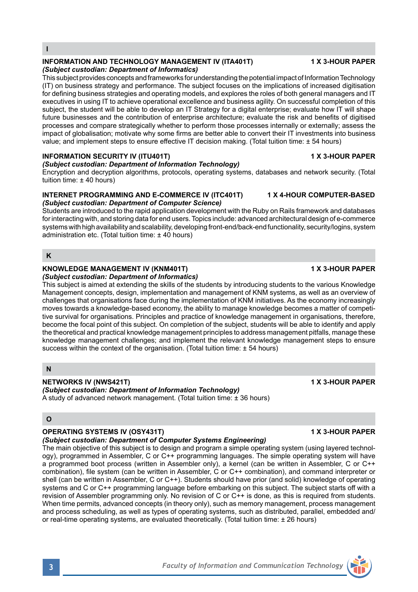# Encryption and decryption algorithms, protocols, operating systems, databases and network security. (Total tuition time: ± 40 hours)

# **INTERNET PROGRAMMING AND E-COMMERCE IV (ITC401T) 1 X 4-HOUR COMPUTER-BASED** *(Subject custodian: Department of Computer Science)*

*(Subject custodian: Department of Information Technology)*

Students are introduced to the rapid application development with the Ruby on Rails framework and databases for interacting with, and storing data for end users. Topics include: advanced architectural design of e-commerce systems with high availability and scalability, developing front-end/back-end functionality, security/logins, system administration etc. (Total tuition time: +40 hours)

## **K**

**I**

### **KNOWLEDGE MANAGEMENT IV (KNM401T) 1 X 3-HOUR PAPER** *(Subject custodian: Department of Informatics)*

This subject is aimed at extending the skills of the students by introducing students to the various Knowledge Management concepts, design, implementation and management of KNM systems, as well as an overview of challenges that organisations face during the implementation of KNM initiatives. As the economy increasingly moves towards a knowledge-based economy, the ability to manage knowledge becomes a matter of competitive survival for organisations. Principles and practice of knowledge management in organisations, therefore, become the focal point of this subject. On completion of the subject, students will be able to identify and apply the theoretical and practical knowledge management principles to address management pitfalls, manage these knowledge management challenges; and implement the relevant knowledge management steps to ensure success within the context of the organisation. (Total tuition time: ± 54 hours)

# **N**

# **NETWORKS IV (NWS421T) 1 X 3-HOUR PAPER**

*(Subject custodian: Department of Information Technology)* A study of advanced network management. (Total tuition time: ± 36 hours)

## **O**

# **OPERATING SYSTEMS IV (OSY431T) 1 X 3-HOUR PAPER**

# *(Subject custodian: Department of Computer Systems Engineering)*

The main objective of this subject is to design and program a simple operating system (using layered technology), programmed in Assembler, C or C++ programming languages. The simple operating system will have a programmed boot process (written in Assembler only), a kernel (can be written in Assembler, C or C++ combination), file system (can be written in Assembler, C or C++ combination), and command interpreter or shell (can be written in Assembler, C or C++). Students should have prior (and solid) knowledge of operating systems and C or C++ programming language before embarking on this subject. The subject starts off with a revision of Assembler programming only. No revision of C or C++ is done, as this is required from students. When time permits, advanced concepts (in theory only), such as memory management, process management and process scheduling, as well as types of operating systems, such as distributed, parallel, embedded and/ or real-time operating systems, are evaluated theoretically. (Total tuition time: ± 26 hours)

# **INFORMATION AND TECHNOLOGY MANAGEMENT IV (ITA401T) 1 X 3-HOUR PAPER**

# *(Subject custodian: Department of Informatics)*

This subject provides concepts and frameworks for understanding the potential impact of Information Technology (IT) on business strategy and performance. The subject focuses on the implications of increased digitisation for defining business strategies and operating models, and explores the roles of both general managers and IT executives in using IT to achieve operational excellence and business agility. On successful completion of this subject, the student will be able to develop an IT Strategy for a digital enterprise; evaluate how IT will shape future businesses and the contribution of enterprise architecture; evaluate the risk and benefits of digitised processes and compare strategically whether to perform those processes internally or externally; assess the impact of globalisation; motivate why some firms are better able to convert their IT investments into business value; and implement steps to ensure effective IT decision making. (Total tuition time: ± 54 hours)

# **INFORMATION SECURITY IV (ITU401T) 1 X 3-HOUR PAPER**